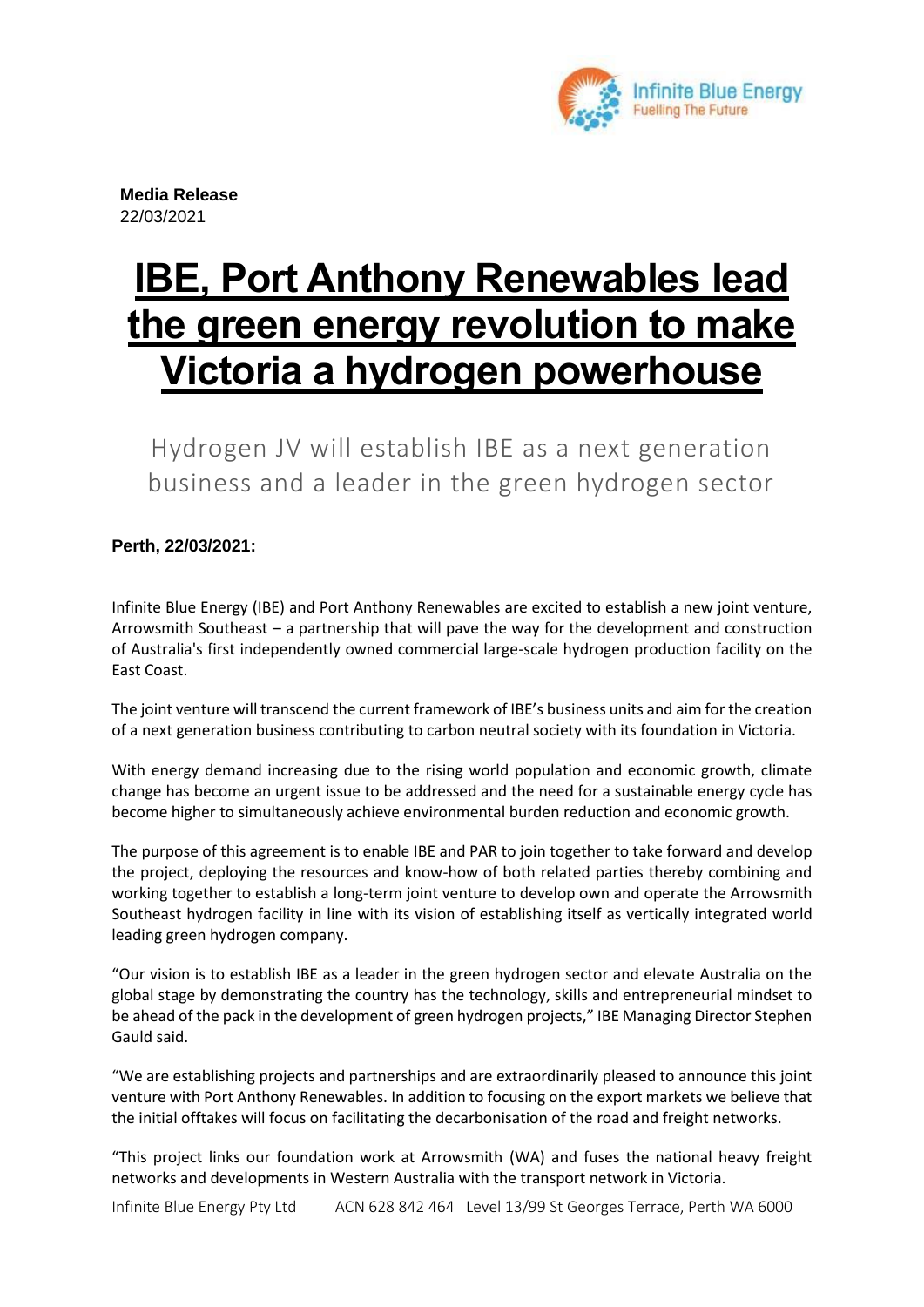

**Media Release** 22/03/2021

# **IBE, Port Anthony Renewables lead the green energy revolution to make Victoria a hydrogen powerhouse**

Hydrogen JV will establish IBE as a next generation business and a leader in the green hydrogen sector

## **Perth, 22/03/2021:**

Infinite Blue Energy (IBE) and Port Anthony Renewables are excited to establish a new joint venture, Arrowsmith Southeast – a partnership that will pave the way for the development and construction of Australia's first independently owned commercial large-scale hydrogen production facility on the East Coast.

The joint venture will transcend the current framework of IBE's business units and aim for the creation of a next generation business contributing to carbon neutral society with its foundation in Victoria.

With energy demand increasing due to the rising world population and economic growth, climate change has become an urgent issue to be addressed and the need for a sustainable energy cycle has become higher to simultaneously achieve environmental burden reduction and economic growth.

The purpose of this agreement is to enable IBE and PAR to join together to take forward and develop the project, deploying the resources and know-how of both related parties thereby combining and working together to establish a long-term joint venture to develop own and operate the Arrowsmith Southeast hydrogen facility in line with its vision of establishing itself as vertically integrated world leading green hydrogen company.

"Our vision is to establish IBE as a leader in the green hydrogen sector and elevate Australia on the global stage by demonstrating the country has the technology, skills and entrepreneurial mindset to be ahead of the pack in the development of green hydrogen projects," IBE Managing Director Stephen Gauld said.

"We are establishing projects and partnerships and are extraordinarily pleased to announce this joint venture with Port Anthony Renewables. In addition to focusing on the export markets we believe that the initial offtakes will focus on facilitating the decarbonisation of the road and freight networks.

"This project links our foundation work at Arrowsmith (WA) and fuses the national heavy freight networks and developments in Western Australia with the transport network in Victoria.

Infinite Blue Energy Pty Ltd ACN 628 842 464 Level 13/99 St Georges Terrace, Perth WA 6000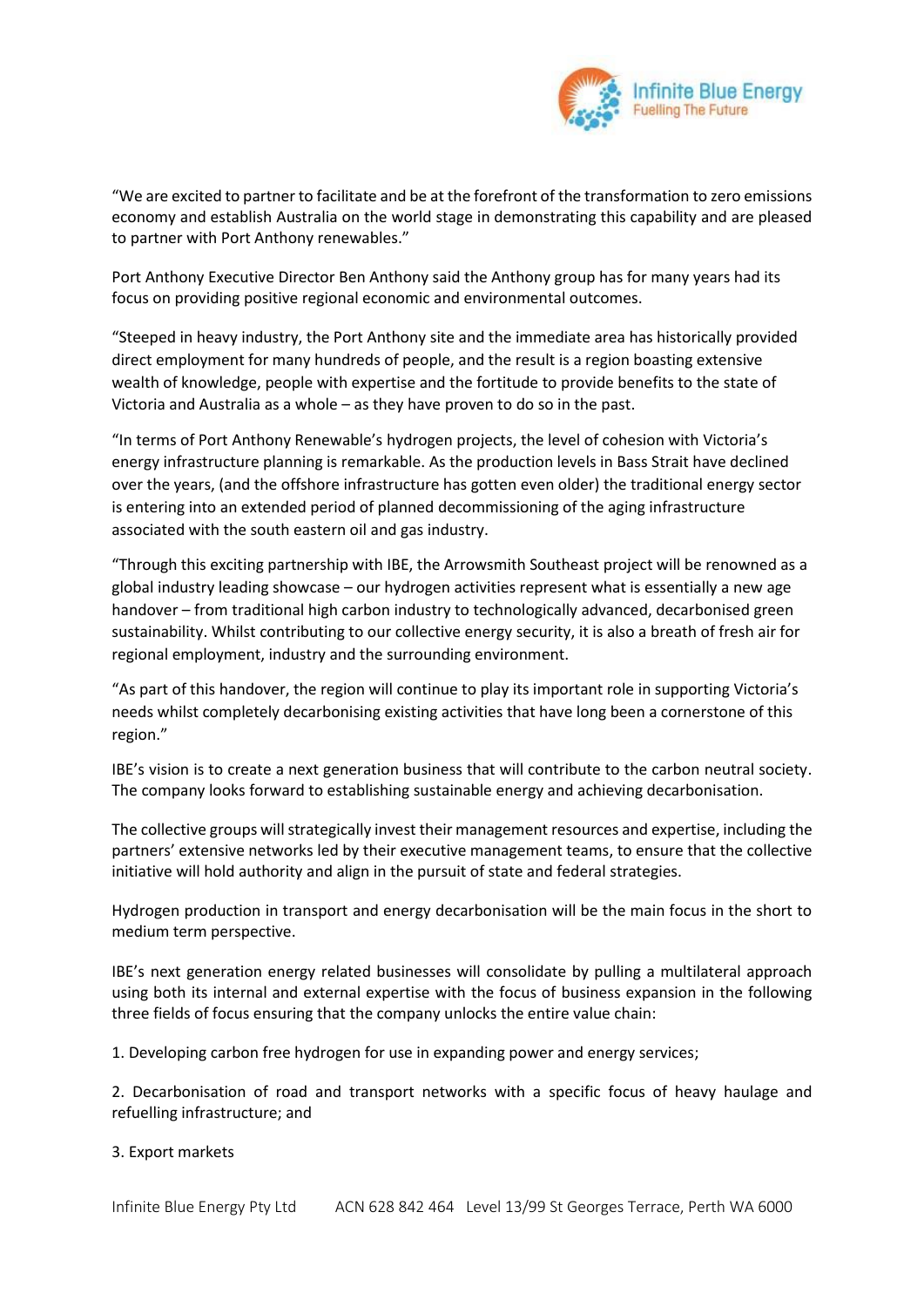

"We are excited to partner to facilitate and be at the forefront of the transformation to zero emissions economy and establish Australia on the world stage in demonstrating this capability and are pleased to partner with Port Anthony renewables."

Port Anthony Executive Director Ben Anthony said the Anthony group has for many years had its focus on providing positive regional economic and environmental outcomes.

"Steeped in heavy industry, the Port Anthony site and the immediate area has historically provided direct employment for many hundreds of people, and the result is a region boasting extensive wealth of knowledge, people with expertise and the fortitude to provide benefits to the state of Victoria and Australia as a whole – as they have proven to do so in the past.

"In terms of Port Anthony Renewable's hydrogen projects, the level of cohesion with Victoria's energy infrastructure planning is remarkable. As the production levels in Bass Strait have declined over the years, (and the offshore infrastructure has gotten even older) the traditional energy sector is entering into an extended period of planned decommissioning of the aging infrastructure associated with the south eastern oil and gas industry.

"Through this exciting partnership with IBE, the Arrowsmith Southeast project will be renowned as a global industry leading showcase – our hydrogen activities represent what is essentially a new age handover – from traditional high carbon industry to technologically advanced, decarbonised green sustainability. Whilst contributing to our collective energy security, it is also a breath of fresh air for regional employment, industry and the surrounding environment.

"As part of this handover, the region will continue to play its important role in supporting Victoria's needs whilst completely decarbonising existing activities that have long been a cornerstone of this region."

IBE's vision is to create a next generation business that will contribute to the carbon neutral society. The company looks forward to establishing sustainable energy and achieving decarbonisation.

The collective groups will strategically invest their management resources and expertise, including the partners' extensive networks led by their executive management teams, to ensure that the collective initiative will hold authority and align in the pursuit of state and federal strategies.

Hydrogen production in transport and energy decarbonisation will be the main focus in the short to medium term perspective.

IBE's next generation energy related businesses will consolidate by pulling a multilateral approach using both its internal and external expertise with the focus of business expansion in the following three fields of focus ensuring that the company unlocks the entire value chain:

1. Developing carbon free hydrogen for use in expanding power and energy services;

2. Decarbonisation of road and transport networks with a specific focus of heavy haulage and refuelling infrastructure; and

## 3. Export markets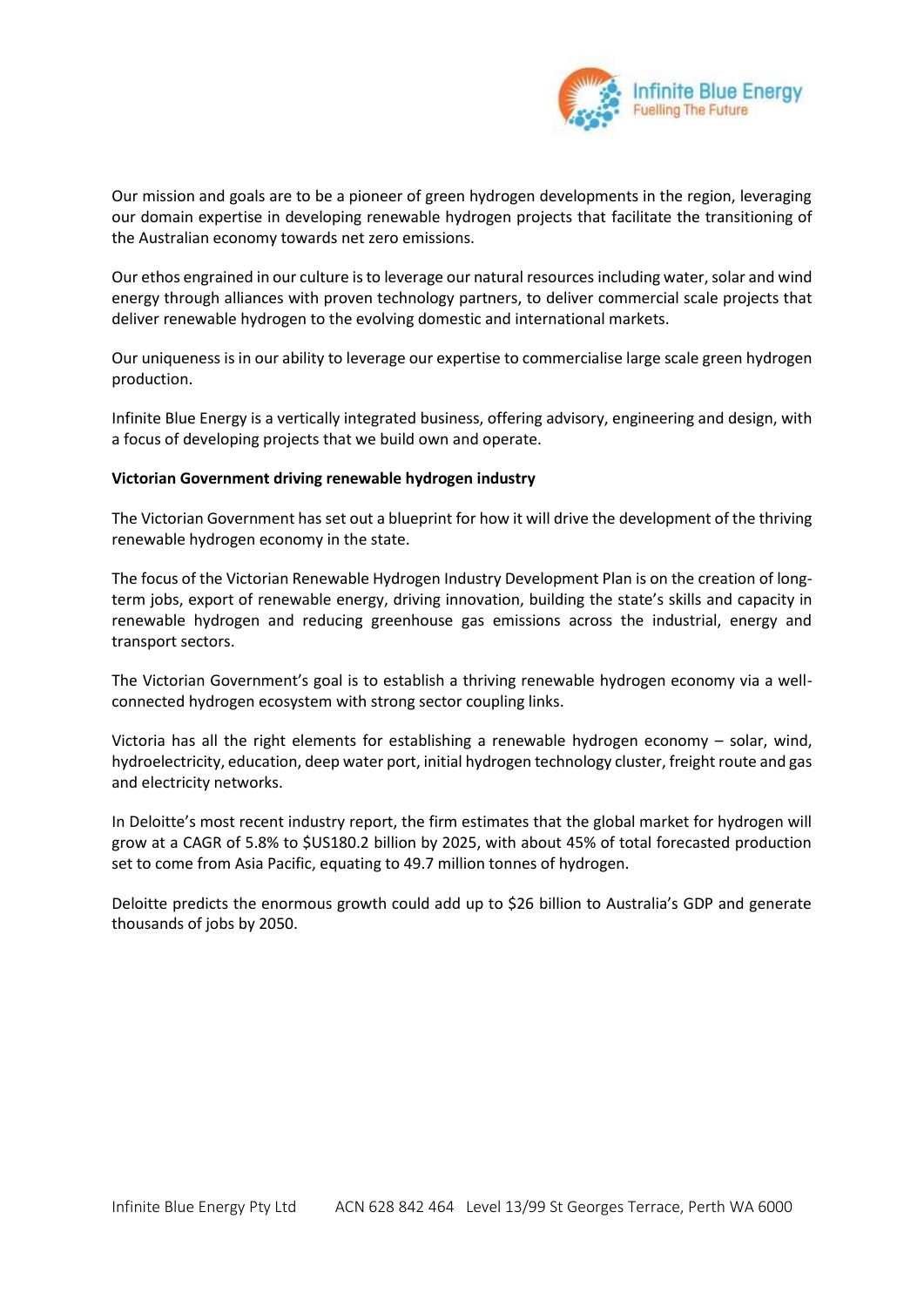

Our mission and goals are to be a pioneer of green hydrogen developments in the region, leveraging our domain expertise in developing renewable hydrogen projects that facilitate the transitioning of the Australian economy towards net zero emissions.

Our ethos engrained in our culture is to leverage our natural resources including water, solar and wind energy through alliances with proven technology partners, to deliver commercial scale projects that deliver renewable hydrogen to the evolving domestic and international markets.

Our uniqueness is in our ability to leverage our expertise to commercialise large scale green hydrogen production.

Infinite Blue Energy is a vertically integrated business, offering advisory, engineering and design, with a focus of developing projects that we build own and operate.

## **Victorian Government driving renewable hydrogen industry**

The Victorian Government has set out a blueprint for how it will drive the development of the thriving renewable hydrogen economy in the state.

The focus of the Victorian Renewable Hydrogen Industry Development Plan is on the creation of longterm jobs, export of renewable energy, driving innovation, building the state's skills and capacity in renewable hydrogen and reducing greenhouse gas emissions across the industrial, energy and transport sectors.

The Victorian Government's goal is to establish a thriving renewable hydrogen economy via a wellconnected hydrogen ecosystem with strong sector coupling links.

Victoria has all the right elements for establishing a renewable hydrogen economy – solar, wind, hydroelectricity, education, deep water port, initial hydrogen technology cluster, freight route and gas and electricity networks.

In Deloitte's most recent industry report, the firm estimates that the global market for hydrogen will grow at a CAGR of 5.8% to \$US180.2 billion by 2025, with about 45% of total forecasted production set to come from Asia Pacific, equating to 49.7 million tonnes of hydrogen.

Deloitte predicts the enormous growth could add up to \$26 billion to Australia's GDP and generate thousands of jobs by 2050.